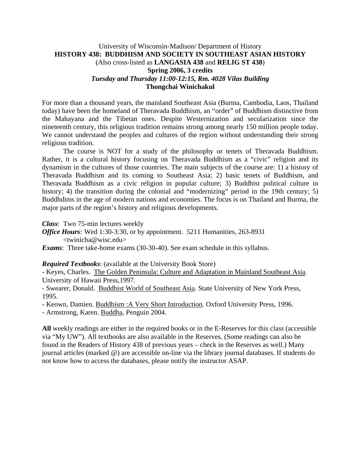### University of Wisconsin-Madison/ Department of History **HISTORY 438: BUDDHISM AND SOCIETY IN SOUTHEAST ASIAN HISTORY** (Also cross-listed as **LANGASIA 438** and **RELIG ST 438**) **Spring 2006, 3 credits**  *Tuesday and Thursday 11:00-12:15, Rm. 4028 Vilas Building* **Thongchai Winichakul**

For more than a thousand years, the mainland Southeast Asia (Burma, Cambodia, Laos, Thailand today) have been the homeland of Theravada Buddhism, an "order" of Buddhism distinctive from the Mahayana and the Tibetan ones. Despite Westernization and secularization since the nineteenth century, this religious tradition remains strong among nearly 150 million people today. We cannot understand the peoples and cultures of the region without understanding their strong religious tradition.

 The course is NOT for a study of the philosophy or tenets of Theravada Buddhism. Rather, it is a cultural history focusing on Theravada Buddhism as a "civic" religion and its dynamism in the cultures of those countries. The main subjects of the course are: 1) a history of Theravada Buddhism and its coming to Southeast Asia; 2) basic tenets of Buddhism, and Theravada Buddhism as a civic religion in popular culture; 3) Buddhist political culture in history; 4) the transition during the colonial and "modernizing" period in the 19th century; 5) Buddhdims in the age of modern nations and economies. The focus is on Thailand and Burma, the major parts of the region's history and religious developments.

*Class*: Two 75-min lectures weekly

*Office Hours*: Wed 1:30-3:30, or by appointment. 5211 Humanities, 263-8931 <twinicha@wisc.edu>

*Exams*: Three take-home exams (30-30-40). See exam schedule in this syllabus.

#### *Required Textbooks*: (available at the University Book Store)

- Keyes, Charles. The Golden Peninsula: Culture and Adaptation in Mainland Southeast Asia. University of Hawaii Press,1997.

- Swearer, Donald. Buddhist World of Southeast Asia. State University of New York Press, 1995.

- Keown, Damien. Buddhism :A Very Short Introduction. Oxford University Press, 1996.

- Armstrong, Karen. Buddha, Penguin 2004.

**All** weekly readings are either in the required books or in the E-Reserves for this class (accessible via "My UW"). All textbooks are also available in the Reserves. (Some readings can also be found in the Readers of History 438 of previous years – check in the Reserves as well.) Many journal articles (marked @) are accessible on-line via the library journal databases. If students do not know how to access the databases, please notify the instructor ASAP.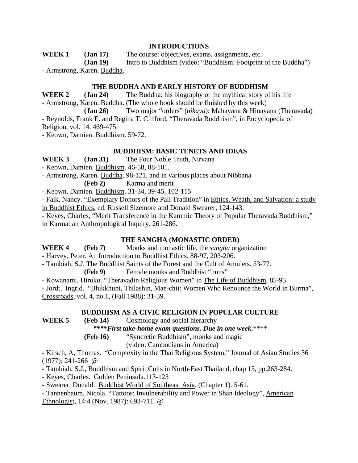#### **INTRODUCTIONS**

**WEEK 1 (Jan 17)** The course: objectives, exams, assignments, etc.

 **(Jan 19)** Intro to Buddhism (video: "Buddhism: Footprint of the Buddha") - Armstrong, Karen. Buddha.

### **THE BUDDHA AND EARLY HISTORY OF BUDDHISM**

**WEEK 2 (Jan 24)** The Buddha: his biography or the mythical story of his life - Armstrong, Karen. Buddha. (The whole book should be finished by this week)

**(Jan 26)** Two major "orders" (*nikaya*): Mahayana & Hinayana (Theravada)

- Reynolds, Frank E. and Regina T. Clifford, "Theravada Buddhism", in Encyclopedia of Religion, vol. 14. 469-475.

- Keown, Damien. Buddhism. 59-72.

#### **BUDDHISM: BASIC TENETS AND IDEAS**

**WEEK 3 (Jan 31)** The Four Noble Truth, Nirvana

- Keown, Damien. Buddhism. 46-58, 88-101.

- Armstrong, Karen. Buddha. 98-121, and in various places about Nibbana

**(Feb 2)** Karma and merit

- Keown, Damien. Buddhism. 31-34, 39-45, 102-115

- Falk, Nancy. "Exemplary Donors of the Pali Tradition" in Ethics, Weath, and Salvation: a study in Buddhist Ethics, ed. Russell Sizemore and Donald Swearer, 124-143.

- Keyes, Charles, "Merit Transference in the Kammic Theory of Popular Theravada Buddhism," in Karma: an Anthropological Inquiry. 261-286.

#### **THE SANGHA (MONASTIC ORDER)**

**WEEK 4 (Feb 7)** Monks and monastic life, the *sangha* organization

- Harvey, Peter. An Introduction to Buddhist Ethics, 88-97, 203-206.

- Tambiah, S.J. The Buddhist Saints of the Forest and the Cult of Amulets. 53-77.

**(Feb 9)** Female monks and Buddhist "nuns"

- Kowanami, Hiroko. "Theravadin Religious Women" in The Life of Buddhism, 85-95

- Jordt, Ingrid. "Bhikkhuni, Thilashin, Mae-chii: Women Who Renounce the World in Burma", Crossroads, vol. 4, no.1, (Fall 1988): 31-39.

#### **BUDDHISM AS A CIVIC RELIGION IN POPULAR CULTURE**

**WEEK 5 (Feb 14)** Cosmology and social hierarchy

*\*\*\*\*First take-home exam questions. Due in one week.*\*\*\*\*

**(Feb 16)** "Syncretic Buddhism", monks and magic

(video: Cambodians in America)

- Kirsch, A, Thomas. "Complexity in the Thai Religious System," Journal of Asian Studies 36 (1977): 241-266 @

- Tambiah, S.J., Buddhism and Spirit Cults in North-East Thailand, chap 15, pp.263-284.

- Keyes, Charles. Golden Peninsula.113-123

- Swearer, Donald. Buddhist World of Southeast Asia. (Chapter 1). 5-61.

- Tannenbaum, Nicola. "Tattoos: Invulnerability and Power in Shan Ideology", American Ethnologist, 14:4 (Nov. 1987): 693-711 @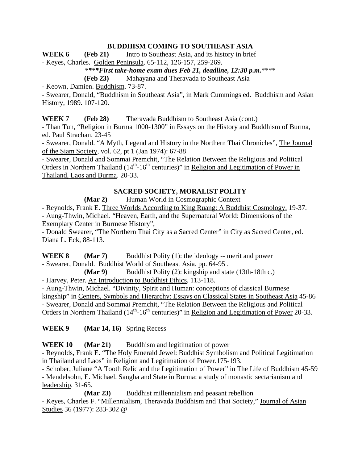### **BUDDHISM COMING TO SOUTHEAST ASIA**

WEEK 6 (Feb 21) Intro to Southeast Asia, and its history in brief

- Keyes, Charles. Golden Peninsula. 65-112, 126-157, 259-269.

### *\*\*\*\*First take-home exam dues Feb 21, deadline, 12:30 p.m.*\*\*\*\*

**(Feb 23)** Mahayana and Theravada to Southeast Asia

- Keown, Damien. Buddhism. 73-87.

- Swearer, Donald, "Buddhism in Southeast Asia", in Mark Cummings ed. Buddhism and Asian History, 1989. 107-120.

### **WEEK 7 (Feb 28)** Theravada Buddhism to Southeast Asia (cont.)

- Than Tun, "Religion in Burma 1000-1300" in Essays on the History and Buddhism of Burma, ed. Paul Strachan. 23-45

- Swearer, Donald. "A Myth, Legend and History in the Northern Thai Chronicles", The Journal of the Siam Society, vol. 62, pt 1 (Jan 1974): 67-88

- Swearer, Donald and Sommai Premchit, "The Relation Between the Religious and Political Orders in Northern Thailand  $(14<sup>th</sup>-16<sup>th</sup>$  centuries)" in Religion and Legitimation of Power in Thailand, Laos and Burma. 20-33.

## **SACRED SOCIETY, MORALIST POLITY**

**(Mar 2)** Human World in Cosmographic Context

- Reynolds, Frank E. Three Worlds According to King Ruang: A Buddhist Cosmology. 19-37. - Aung-Thwin, Michael. "Heaven, Earth, and the Supernatural World: Dimensions of the Exemplary Center in Burmese History",

- Donald Swearer, "The Northern Thai City as a Sacred Center" in City as Sacred Center, ed. Diana L. Eck, 88-113.

**WEEK 8 (Mar 7)** Buddhist Polity (1): the ideology -- merit and power - Swearer, Donald. Buddhist World of Southeast Asia. pp. 64-95 .

 **(Mar 9)** Buddhist Polity (2): kingship and state (13th-18th c.) - Harvey, Peter. An Introduction to Buddhist Ethics, 113-118.

- Aung-Thwin, Michael. "Divinity, Spirit and Human: conceptions of classical Burmese kingship" in Centers, Symbols and Hierarchy: Essays on Classical States in Southeast Asia 45-86 - Swearer, Donald and Sommai Premchit, "The Relation Between the Religious and Political Orders in Northern Thailand  $(14<sup>th</sup>-16<sup>th</sup>$  centuries)" in Religion and Legitimation of Power 20-33.

## **WEEK 9 (Mar 14, 16)** Spring Recess

**WEEK 10 (Mar 21)** Buddhism and legitimation of power

- Reynolds, Frank E. "The Holy Emerald Jewel: Buddhist Symbolism and Political Legitimation in Thailand and Laos" in Religion and Legitimation of Power.175-193.

- Schober, Juliane "A Tooth Relic and the Legitimation of Power" in The Life of Buddhism 45-59 - Mendelsohn, E. Michael. Sangha and State in Burma: a study of monastic sectarianism and leadership. 31-65.

**(Mar 23)** Buddhist millennialism and peasant rebellion - Keyes, Charles F. "Millennialism, Theravada Buddhism and Thai Society," Journal of Asian Studies 36 (1977): 283-302 @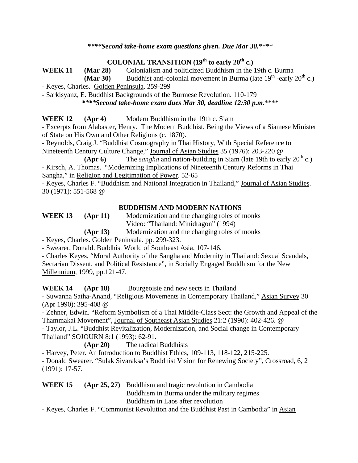#### *\*\*\*\*Second take-home exam questions given. Due Mar 30.*\*\*\*\*

# **COLONIAL TRANSITION (19th to early 20th c.)**

**WEEK 11 (Mar 28)** Colonialism and politicized Buddhism in the 19th c. Burma

**(Mar 30)** Buddhist anti-colonial movement in Burma (late  $19<sup>th</sup>$ -early  $20<sup>th</sup>$  c.)

- Keyes, Charles. Golden Peninsula. 259-299

- Sarkisyanz, E. Buddhist Backgrounds of the Burmese Revolution. 110-179

*\*\*\*\*Second take-home exam dues Mar 30, deadline 12:30 p.m.*\*\*\*\*

**WEEK 12 (Apr 4)** Modern Buddhism in the 19th c. Siam

- Excerpts from Alabaster, Henry. The Modern Buddhist, Being the Views of a Siamese Minister of State on His Own and Other Religions (c. 1870).

- Reynolds, Craig J. "Buddhist Cosmography in Thai History, With Special Reference to Nineteenth Century Culture Change," Journal of Asian Studies 35 (1976): 203-220 @

**(Apr 6)** The *sangha* and nation-building in Siam (late 19th to early  $20^{th}$  c.) - Kirsch, A. Thomas. "Modernizing Implications of Nineteenth Century Reforms in Thai Sangha," in Religion and Legitimation of Power. 52-65

- Keyes, Charles F. "Buddhism and National Integration in Thailand," Journal of Asian Studies. 30 (1971): 551-568 @

## **BUDDHISM AND MODERN NATIONS**

| <b>WEEK 13</b> | (Apr 11) | Modernization and the changing roles of monks |
|----------------|----------|-----------------------------------------------|
|                |          | Video: "Thailand: Minidragon" (1994)          |

 **(Apr 13)** Modernization and the changing roles of monks

- Keyes, Charles. Golden Peninsula. pp. 299-323.

- Swearer, Donald. Buddhist World of Southeast Asia, 107-146.

- Charles Keyes, "Moral Authority of the Sangha and Modernity in Thailand: Sexual Scandals, Sectarian Dissent, and Political Resistance", in Socially Engaged Buddhism for the New Millennium, 1999, pp.121-47.

**WEEK 14 (Apr 18)** Bourgeoisie and new sects in Thailand

- Suwanna Satha-Anand, "Religious Movements in Contemporary Thailand," Asian Survey 30 (Apr 1990): 395-408 @

- Zehner, Edwin. "Reform Symbolism of a Thai Middle-Class Sect: the Growth and Appeal of the Thammakai Movement", Journal of Southeast Asian Studies 21:2 (1990): 402-426. @

- Taylor, J.L. "Buddhist Revitalization, Modernization, and Social change in Contemporary Thailand" SOJOURN 8:1 (1993): 62-91.

**(Apr 20)** The radical Buddhists

- Harvey, Peter. An Introduction to Buddhist Ethics, 109-113, 118-122, 215-225.

- Donald Swearer. "Sulak Sivaraksa's Buddhist Vision for Renewing Society", Crossroad, 6, 2 (1991): 17-57.

### **WEEK 15 (Apr 25, 27)** Buddhism and tragic revolution in Cambodia Buddhism in Burma under the military regimes Buddhism in Laos after revolution

- Keyes, Charles F. "Communist Revolution and the Buddhist Past in Cambodia" in Asian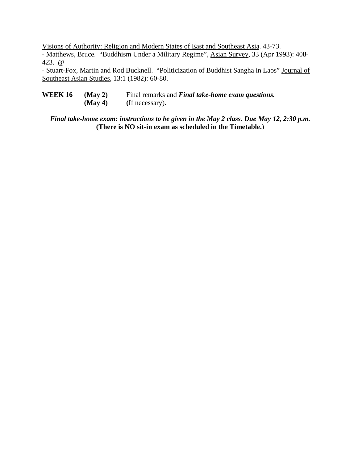Visions of Authority: Religion and Modern States of East and Southeast Asia. 43-73. - Matthews, Bruce. "Buddhism Under a Military Regime", Asian Survey, 33 (Apr 1993): 408- 423. @

- Stuart-Fox, Martin and Rod Bucknell. "Politicization of Buddhist Sangha in Laos" Journal of Southeast Asian Studies, 13:1 (1982): 60-80.

**WEEK 16 (May 2)** Final remarks and *Final take-home exam questions.*  **(May 4) (**If necessary).

*Final take-home exam: instructions to be given in the May 2 class. Due May 12, 2:30 p.m.* **(There is NO sit-in exam as scheduled in the Timetable.**)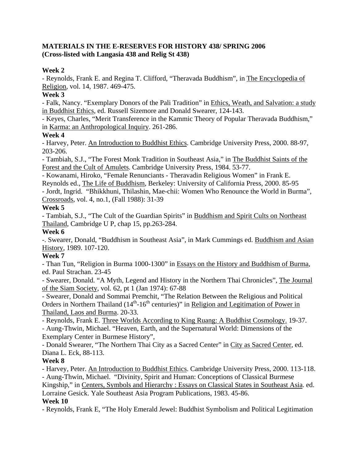## **MATERIALS IN THE E-RESERVES FOR HISTORY 438/ SPRING 2006 (Cross-listed with Langasia 438 and Relig St 438)**

## **Week 2**

- Reynolds, Frank E. and Regina T. Clifford, "Theravada Buddhism", in The Encyclopedia of Religion, vol. 14, 1987. 469-475.

## **Week 3**

- Falk, Nancy. "Exemplary Donors of the Pali Tradition" in Ethics, Weath, and Salvation: a study in Buddhist Ethics, ed. Russell Sizemore and Donald Swearer, 124-143.

- Keyes, Charles, "Merit Transference in the Kammic Theory of Popular Theravada Buddhism," in Karma: an Anthropological Inquiry. 261-286.

## **Week 4**

- Harvey, Peter. An Introduction to Buddhist Ethics. Cambridge University Press, 2000. 88-97, 203-206.

- Tambiah, S.J., "The Forest Monk Tradition in Southeast Asia," in The Buddhist Saints of the Forest and the Cult of Amulets. Cambridge University Press, 1984. 53-77.

- Kowanami, Hiroko, "Female Renunciants - Theravadin Religious Women" in Frank E.

Reynolds ed., The Life of Buddhism, Berkeley: University of California Press, 2000. 85-95 - Jordt, Ingrid. "Bhikkhuni, Thilashin, Mae-chii: Women Who Renounce the World in Burma", Crossroads, vol. 4, no.1, (Fall 1988): 31-39

## **Week 5**

- Tambiah, S.J., "The Cult of the Guardian Spirits" in Buddhism and Spirit Cults on Northeast Thailand, Cambridge U P, chap 15, pp.263-284.

## **Week 6**

-. Swearer, Donald, "Buddhism in Southeast Asia", in Mark Cummings ed. Buddhism and Asian History, 1989. 107-120.

## **Week 7**

- Than Tun, "Religion in Burma 1000-1300" in Essays on the History and Buddhism of Burma, ed. Paul Strachan. 23-45

- Swearer, Donald. "A Myth, Legend and History in the Northern Thai Chronicles", The Journal of the Siam Society, vol. 62, pt 1 (Jan 1974): 67-88

- Swearer, Donald and Sommai Premchit, "The Relation Between the Religious and Political Orders in Northern Thailand  $(14<sup>th</sup>-16<sup>th</sup>$  centuries)" in Religion and Legitimation of Power in Thailand, Laos and Burma. 20-33.

- Reynolds, Frank E. Three Worlds According to King Ruang: A Buddhist Cosmology. 19-37. - Aung-Thwin, Michael. "Heaven, Earth, and the Supernatural World: Dimensions of the Exemplary Center in Burmese History",

- Donald Swearer, "The Northern Thai City as a Sacred Center" in City as Sacred Center, ed. Diana L. Eck, 88-113.

## **Week 8**

- Harvey, Peter. An Introduction to Buddhist Ethics. Cambridge University Press, 2000. 113-118. - Aung-Thwin, Michael. "Divinity, Spirit and Human: Conceptions of Classical Burmese Kingship," in Centers, Symbols and Hierarchy : Essays on Classical States in Southeast Asia. ed. Lorraine Gesick. Yale Southeast Asia Program Publications, 1983. 45-86. **Week 10**

- Reynolds, Frank E, "The Holy Emerald Jewel: Buddhist Symbolism and Political Legitimation